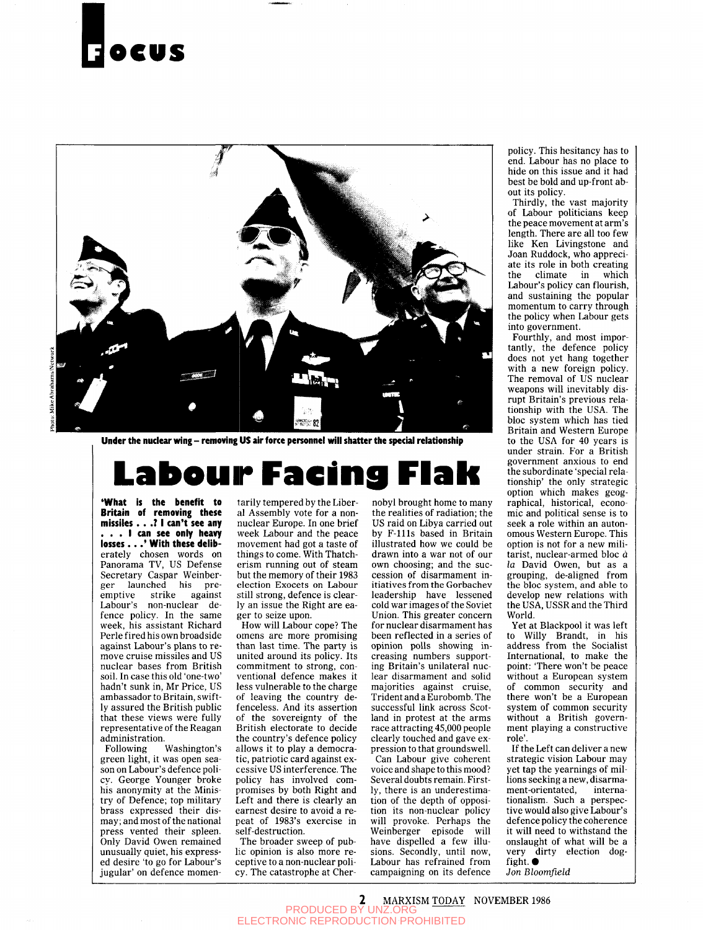# **OCMS**



Under the nuclear wing - removing US air force personnel will shatter the special relationship

# bour Facing Fl

**'What is the benefit to Britain of removing these missiles ...7 1 can't see any . . . I can see only heavy losses ... ' With these** deliberately chosen words on Panorama TV, US Defense Secretary Caspar Weinberger launched his preemptive strike against Labour's non-nuclear defence policy. In the same week, his assistant Richard Perle fired his own broadside against Labour's plans to remove cruise missiles and US nuclear bases from British soil. In case this old 'one-two' hadn't sunk in, Mr Price, US ambassador to Britain, swiftly assured the British public that these views were fully representative of the Reagan administration.

Following Washington's green light, it was open season on Labour's defence policy. George Younger broke his anonymity at the Ministry of Defence; top military brass expressed their dismay; and most of the national press, and most of the national Only David Owen remained Univ David Owen remained unusually quiet, his expressed desire 'to go for Labour's<br>jugular' on defence momentarily tempered by the Liberal Assembly vote for a nonnuclear Europe. In one brief week Labour and the peace movement had got a taste of things to come. With Thatcherism running out of steam but the memory of their 1983 election Exocets on Labour still strong, defence is clearly an issue the Right are eager to seize upon.

How will Labour cope? The omens are more promising than last time. The party is united around its policy. Its commitment to strong, conventional defence makes it less vulnerable to the charge of leaving the country defenceless. And its assertion of the sovereignty of the British electorate to decide the country's defence policy allows it to play a democratic, patriotic card against excessive US interference. The policy has involved compromises by both Right and Left and there is clearly an earnest desire to avoid a repeat of 1983's exercise in self-destruction.

The broader sweep of public opinion is also more receptive to a non-nuclear policy. The catastrophe at Cher-

nobyl brought home to many the realities of radiation; the US raid on Libya carried out by F-llls based in Britain illustrated how we could be drawn into a war not of our own choosing; and the succession of disarmament initiatives from the Gorbachev leadership have lessened cold war images of the Soviet Union. This greater concern for nuclear disarmament has been reflected in a series of opinion polls showing increasing numbers supporting Britain's unilateral nuclear disarmament and solid majorities against cruise, Trident and a Eurobomb. The successful link across Scotland in protest at the arms race attracting 45,000 people clearly touched and gave expression to that groundswell. Can Labour give coherent voice and shape to this mood? Several doubts remain. Firstly, there is an underestimation of the depth of opposition its non-nuclear policy will provoke. Perhaps the

WIII provoke. Fernaps the wemberger episoue will<br>have dispelled a few illusions. Secondly, until now. sions. Secondly, until now, Labour has refrained from<br>campaigning on its defence

policy. This hesitancy has to end. Labour has no place to hide on this issue and it had best be bold and up-front about its policy.

Thirdly, the vast majority of Labour politicians keep the peace movement at arm's length. There are all too few like Ken Livingstone and Joan Ruddock, who appreciate its role in both creating the climate in which Labour's policy can flourish, and sustaining the popular momentum to carry through the policy when Labour gets into government.

Fourthly, and most importantly, the defence policy does not yet hang together with a new foreign policy. The removal of US nuclear weapons will inevitably disrupt Britain's previous relationship with the USA. The bloc system which has tied Britain and Western Europe to the USA for 40 years is under strain. For a British government anxious to end the subordinate 'special relationship' the only strategic option which makes geographical, historical, economic and political sense is to seek a role within an autonomous Western Europe. This option is not for a new militarist, nuclear-armed bloc d *la* David Owen, but as a ia Davia Owen, but as a grouping, ue-angled from the bloc system, and able to<br>develop new relations with the USA, USSR and the Third World.

Yet at Blackpool it was left to Willy Brandt, in his address from the Socialist International, to make the point: 'There won't be peace without a European system of common security and there won't be a European system of common security without a British government playing a constructive role'.

If the Left can deliver a new strategic vision Labour may yet tap the yearnings of millions seeking a new, disarmament-orientated, internationalism. Such a perspective would also give Labour's defence policy the coherence it will need to withstand the onslaught of what will be a very dirty election dogfight.  $\bullet$ 

*Jon Bloomfield*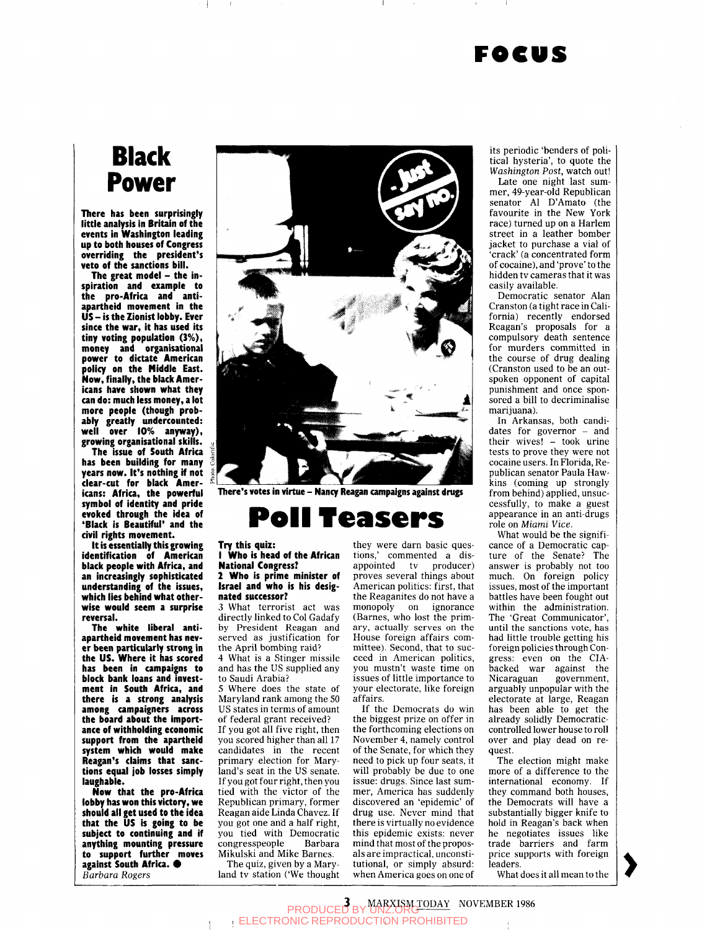### **FOCUS**

## **Black** Power

**There has been surprisingly little analysis in Britain of the events in Washington leading up to both houses of Congress overriding the president's veto of the sanctions bill.** 

The great model - the in**spiration and example to the pro-Africa and antiapartheid movement in the US - is the Zionist lobby. Ever since the war, it has used its tiny voting population (3%), money and organisational power to dictate American policy on the Middle East. Now, finally, the black Americans have shown what they can do: much less money, a lot more people (though probably greatly undercounted: well over 10% anyway), growing organisational skills.** 

**The issue of South Africa has been building for many years now. It's nothing if not clear-cut for black Americans: Africa, the powerful symbol of identity and pride evoked through the idea of 'Black is Beautiful' and the civil rights movement.** 

**it is essentially this growing identification of American black people with Africa, and an increasingly sophisticated understanding of the issues, which lies behind what otherwise would seem a surprise reversal.** 

**The white liberal antiapartheid movement has never been particularly strong in the US. Where it has scored has been in campaigns to block bank loans and investment in South Africa, and there is a strong analysis among campaigners across the board about the importance of withholding economic support from the apartheid system which would make Reagan's claims that sanctions equal job losses simply laughable.** 

**Now that the pro-Africa lobby has won this victory, we should all get used to the idea that the US is going to be subject to continuing and if anything mounting pressure to support further moves against South Africa.**  $\bullet$ **Barbara Rogers** 



**There's votes in virtue - Nancy Reagan campaigns against drugs** 

# **Pell Teasers**

### **Try this quiz:**

**1 Who is head of the African National Congress?** 

#### **2 Who is prime minister of Israel and who is his designated successor?**

3 What terrorist act was directly linked to Col Gadafy by President Reagan and served as justification for the April bombing raid?

4 What is a Stinger missile and has the US supplied any to Saudi Arabia?

5 Where does the state of Maryland rank among the 50 US states in terms of amount of federal grant received?

If you got all five right, then you scored higher than all 17 candidates in the recent primary election for Maryland's seat in the US senate. If you got four right, then you tied with the victor of the Republican primary, former Reagan aide Linda Chavez. If you got one and a half right, you tied with Democratic congresspeople Barbara Mikulski and Mike Barnes.

The quiz, given by a Maryland tv station ('We thought

they were darn basic questions,' commented a disappointed tv producer) proves several things about American politics: first, that the Reaganites do not have a monopoly on ignorance (Barnes, who lost the primary, actually serves on the House foreign affairs committee). Second, that to succeed in American politics, you mustn't waste time on issues of little importance to your electorate, like foreign affairs.

If the Democrats do win the biggest prize on offer in the forthcoming elections on November 4, namely control of the Senate, for which they need to pick up four seats, it will probably be due to one issue: drugs. Since last summer, America has suddenly discovered an 'epidemic' of drug use. Never mind that there is virtually no evidence this epidemic exists: never mind that most of the proposals are impractical, unconstitutional, or simply absurd: when America goes on one of

its periodic 'benders of pohtical hysteria', to quote the *Washington Post,* watch out!

Late one night last summer, 49-year-old Republican senator Al D'Amato (the favourite in the New York race) turned up on a Harlem street in a leather bomber jacket to purchase a vial of 'crack' (a concentrated form of cocaine), and 'prove' to the hidden tv cameras that it was easily available.

Democratic senator Alan Cranston (a tight race in California) recently endorsed Reagan's proposals for a compulsory death sentence for murders committed in the course of drug dealing (Cranston used to be an outspoken opponent of capital punishment and once sponsored a bill to decriminalise marijuana).

In Arkansas, both candidates for governor - and their wives! - took urine tests to prove they were not cocaine users. In Florida, Republican senator Paula Hawkins (coming up strongly from behind) applied, unsuccessfully, to make a guest appearance in an anti-drugs role on *Miami Vice.* 

What would be the significance of a Democratic capture of the Senate? The answer is probably not too much. On foreign policy issues, most of the important battles have been fought out within the administration. The 'Great Communicator', until the sanctions vote, has had little trouble getting his foreign policies through Congress: even on the CIAbacked war against the Nicaraguan government, arguably unpopular with the electorate at large, Reagan has been able to get the already solidly Democraticcontrolled lower house to roll over and play dead on request.

The election might make more of a difference to the international economy. If they command both houses, the Democrats will have a substantially bigger knife to hold in Reagan's back when he negotiates issues like trade barriers and farm price supports with foreign leaders.

What does it all mean to the

**3 MARXISM TODAY NOVEMBER 1986**<br>ELECTRONIC REPRODUCTION PROHIBITED **TION PROHIBITED**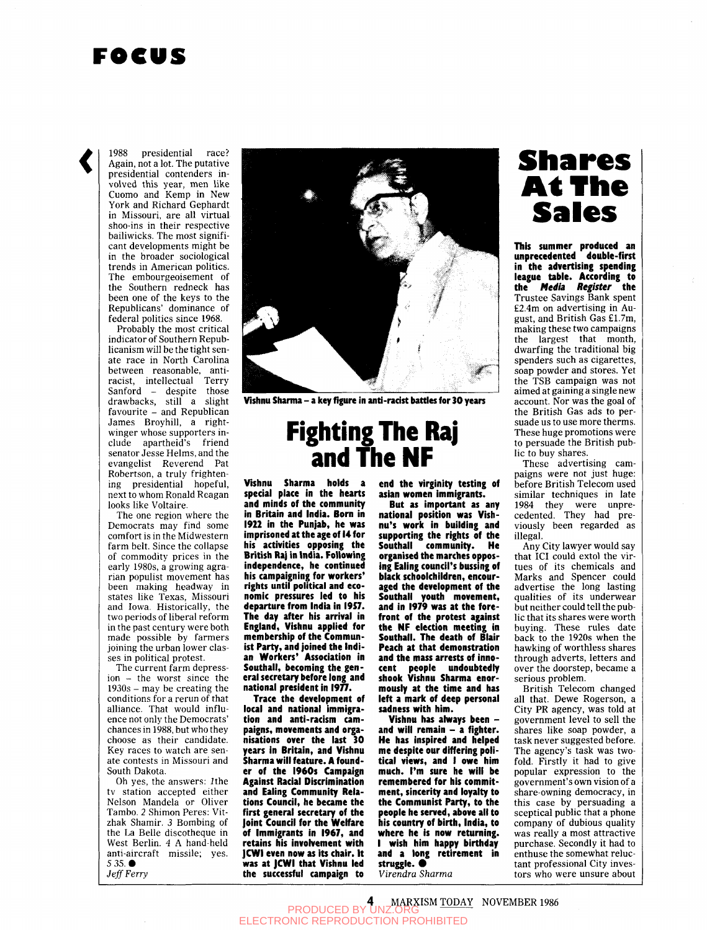### **FOCUS**

1988 presidential race? Again, not a lot. The putative presidential contenders involved this year, men like Cuomo and Kemp in New York and Richard Gephardt in Missouri, are all virtual shoo-ins in their respective bailiwicks. The most significant developments might be in the broader sociological trends in American politics. The embourgeoisement of the Southern redneck has been one of the keys to the Republicans' dominance of federal politics since 1968.

Probably the most critical indicator of Southern Republicanism will be the tight senate race in North Carolina between reasonable, antiracist, intellectual Terry Sanford - despite those drawbacks, still a slight favourite - and Republican James Broyhill, a rightwinger whose supporters include apartheid's friend senator Jesse Helms, and the evangelist Reverend Pat Robertson, a truly frightening presidential hopeful, next to whom Ronald Reagan looks like Voltaire.

The one region where the Democrats may find some comfort is in the Midwestern farm belt. Since the collapse of commodity prices in the early 1980s, a growing agrarian populist movement has been making headway in states like Texas, Missouri and Iowa. Historically, the two periods of liberal reform in the past century were both made possible by farmers joining the urban lower classes in political protest.

The current farm depression - the worst since the 1930s - may be creating the conditions for a rerun of that alliance. That would influence not only the Democrats' chances in 1988, but who they choose as their candidate. Key races to watch are senate contests in Missouri and South Dakota.

Oh yes, the answers: Jthe tv station accepted either Nelson Mandela or Oliver Tambo. 2 Shimon Peres: Yitzhak Shamir. *3* Bombing of the La Belle discotheque in West Berlin. 4 A hand-held anti-aircraft missile; yes. 5 35. • *Jeff Ferry* 



**Vishnu Sharma - a key figure in anti-racist battles for 30 years** 

## **Fighting Tlie Raj and Tlie NF**

**Vishnu Sharma holds a special place in the hearts and minds of the community in Britain and India. Born in 1922 in the Punjab, he was imprisoned at the age of 14 for his activities opposing the British Raj in India. Following independence, he continued his campaigning for workers' rights until political and economic pressures led to his departure from India in I9S7. The day after his arrival in England, Vishnu applied for membership of the Communist Party, and joined the Indian Workers' Association in Southall, becoming the general secretary before long and national president in 1977.** 

**Trace the development of local and national immigration and anti-racism campaigns, movements and organisations over the last 30 years in Britain, and Vishnu Sharma will feature. A founder of the 1960s Campaign Against Racial Discrimination and Ealing Community Relations Council, he became the first general secretary of the Joint Council for the Welfare of Immigrants in 1967, and**  retains his involvement with **|CW1 even now as its chair. It was at JCWI that Vishnu led the successful campaign to** 

**end the virginity testing of asian women immigrants.** 

**But as important as any national position was Vishnu's work in building and supporting the rights of the Southall community. He organised the marches opposing Ealing council's bussing of black schoolchildren, encouraged the development of the Southall youth movement, and in 1979 was at the forefront of the protest against the NF election meeting in Southall. The death of Blair Peach at that demonstration and the mass arrests of innocent people undoubtedly shook Vishnu Sharma enormously at the time and has left a mark of deep personal sadness with him.** 

**Vishnu has ahvays been and will remain - a fighter. He has inspired and helped me despite our differing political views, and I owe him much. I'm sure he will be remembered for his commitment, sincerity and loyalty to the Communist Party, to the people he served, above all to his country of birth, India, to where he is now returning. I wish him happy birthday and a long retirement in**  struggle.  $\bullet$ **Virendra Sharma** 

# **Shares At The<br>Sales Sales This summer produced an**

**unprecedented double-first in the advertising spending league table. According to the** *Media Register* **the**  Trustee Savings Bank spent £2.4m on advertising in August, and British Gas £1.7m, making these two campaigns the largest that month, dwarfing the traditional big spenders such as cigarettes, soap powder and stores. Yet the TSB campaign was not aimed at gaining a single new account. Nor was the goal of the British Gas ads to persuade us to use more therms. These huge promotions were to persuade the British public to buy shares.

These advertising campaigns were not just huge: before British Telecom used similar techniques in late 1984 they were unprecedented. They had previously been regarded as illegal.

Any City lawyer would say that ICI could extol the virtues of its chemicals and Marks and Spencer could advertise the long lasting qualities of its underwear but neither could tell the public that its shares were worth buying. These rules date back to the 1920s when the hawking of worthless shares through adverts, letters and over the doorstep, became a serious problem.

British Telecom changed all that. Dewe Rogerson, a City PR agency, was told at government level to sell the shares like soap powder, a task never suggested before. The agency's task was twofold. Firstly it had to give popular expression to the government's own vision of a share-owning democracy, in this case by persuading a sceptical public that a phone company of dubious quality was really a most attractive purchase. Secondly it had to enthuse the somewhat reluctant professional City investors who were unsure about

**PRODUCED BY UNZ.ORG**<br>PRODUCED BY UNZ.ORG ELECTRONIC REPRODUCTION PROHIBITED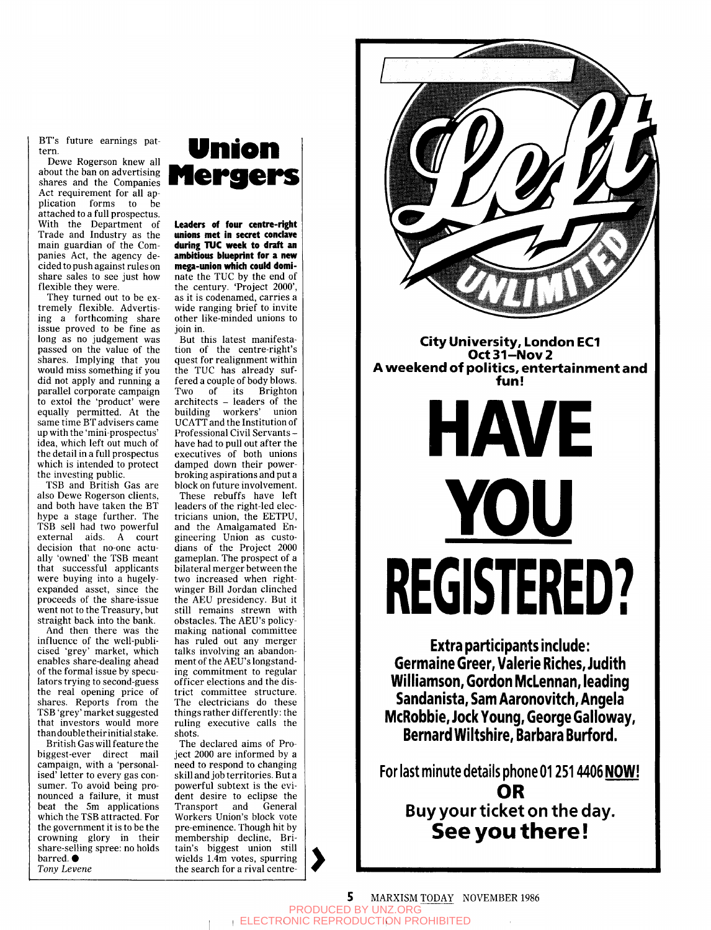BT's future earnings pattern.

Dewe Rogerson knew all about the ban on advertising shares and the Companies Act requirement for all application forms to be attached to a full prospectus. With the Department of Trade and Industry as the main guardian of the Companies Act, the agency decided to push against rules on share sales to see just how flexible they were.

They turned out to be extremely flexible. Advertising a forthcoming share issue proved to be fine as long as no judgement was passed on the value of the shares. Implying that you would miss something if you did not apply and running a parallel corporate campaign to extol the 'product' were equally permitted. At the same time BT advisers came up with the 'mini-prospectus' idea, which left out much of the detail in a full prospectus which is intended to protect the investing public.

TSB and British Gas are also Dewe Rogerson clients, and both have taken the BT hype a stage further. The TSB sell had two powerful external aids. A court decision that no-one actually 'owned' the TSB meant that successful applicants were buying into a hugelyexpanded asset, since the proceeds of the share-issue went not to the Treasury, but straight back into the bank.

And then there was the influence of the well-publicised 'grey' market, which enables share-dealing ahead of the formal issue by speculators trying to second-guess the real opening price of shares. Reports from the TSB 'grey' market suggested that investors would more than double their initial stake.

British Gas will feature the biggest-ever direct mail campaign, with a 'personalised' letter to every gas consumer. To avoid being pronounced a failure, it must beat the 5m applications which the TSB attracted. For the government it is to be the crowning glory in their share-selling spree: no holds barred.  $\bullet$ 

*Tony Levene* 



**Leaders of four centre-right unions met in secret conclave**  during TUC week to draft an **ambitious blueprint for a new mega-union which could dominate** the TUC by the end of the century. 'Project 2000', as it is codenamed, carries a wide ranging brief to invite other like-minded unions to join in.

But this latest manifestation of the centre-right's quest for realignment within the TUC has already suffered a couple of body blows. Two of its Brighton architects - leaders of the building workers' union UCATT and the Institution of Professional Civil Servants have had to pull out after the executives of both unions damped down their powerbroking aspirations and put a block on future involvement. These rebuffs have left leaders of the right-led electricians union, the EETPU, and the Amalgamated Engineering Union as custodians of the Project 2000 gameplan. The prospect of a bilateral merger between the two increased when rightwinger Bill Jordan clinched the AEU presidency. But it still remains strewn with obstacles. The AEU's policymaking national committee has ruled out any merger talks involving an abandonment of the AEU's longstanding commitment to regular officer elections and the district committee structure. The electricians do these things rather differently: the ruling executive calls the shots.

The declared aims of Project 2000 are informed by a need to respond to changing skill and job territories. But a powerful subtext is the evident desire to eclipse the Transport and General Workers Union's block vote pre-eminence. Though hit by membership decline, Britain's biggest union still wields 1.4m votes, spurring the search for a rival centre-



**City University, London EC1 Oct 31-Nov 2 A weekend of politics, entertainment and fun!** 

# **HAVE Y OU REGISTERED?**

**Extra participants include: Germaine Greer, Valerie Riches, Judith Williamson, Gordon McLennan, leading Sandanista, Sam Aaronovitch, Angela McRobbie, Jock Young, George Galloway, Bernard Wiltshire, Barbara Burford.** 

**For last minute details phone 012514406 NOW! OR Buy your ticket on the day. See you there!**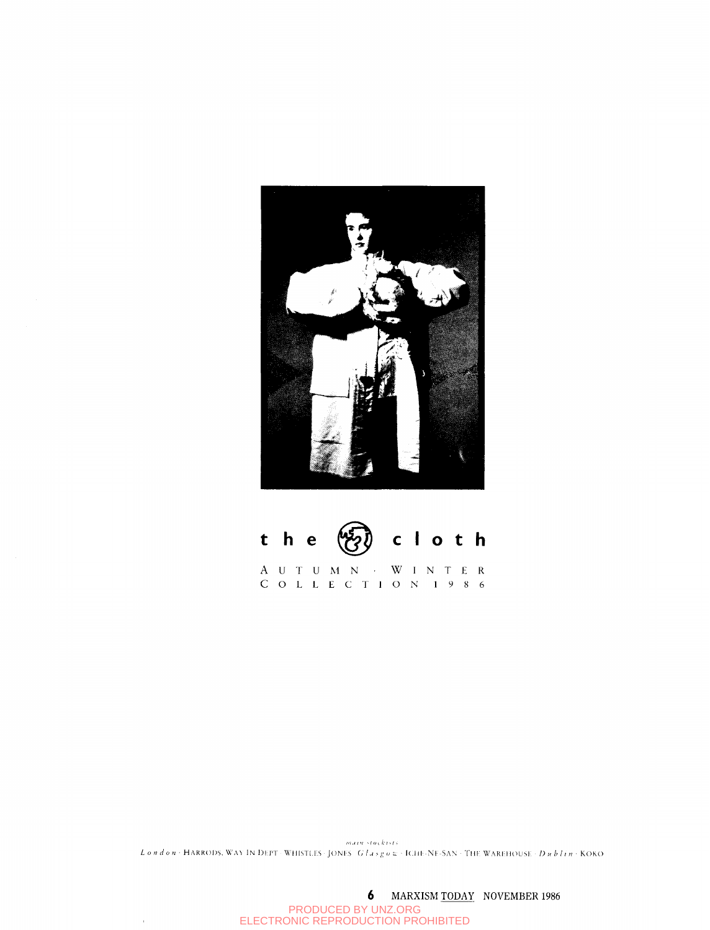



COLLECTIO N I98 6

 $maxw\_cos(k)$ *London •* HARRODS. WAY IN DEPT • WHISTLES • JONES *Glasgov* • ICHE-NE-SAN • THE WAREHOUSE • *Dublin* • KOKO

6 MARXISM TODAY NOVEMBER 1986 PRODUCED BY UNZ.ORG ELECTRONIC REPRODUCTION PROHIBITED

 $\bar{r}$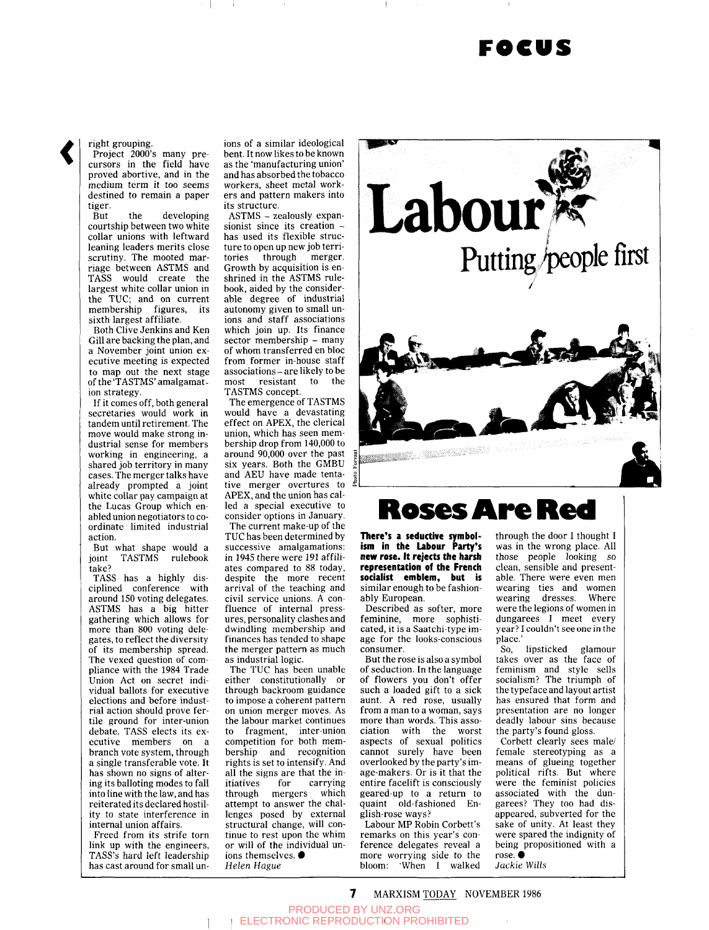### **FOCUS**

right grouping.

Project 2000's many precursors in the field have proved abortive, and in the medium term it too seems destined to remain a paper tiger.

But the developing courtship between two white collar unions with leftward leaning leaders merits close scrutiny. The mooted marriage between ASTMS and TASS would create the largest white collar union in the TUC; and on current membership figures, its sixth largest affiliate.

Both Clive Jenkins and Ken Gill are backing the plan, and a November joint union executive meeting is expected to map out the next stage of the 'TASTMS' amalgamation strategy.

If it comes off, both general secretaries would work in tandem until retirement. The move would make strong industrial sense for members working in engineering, a shared job territory in many cases. The merger talks have already prompted a joint white collar pay campaign at the Lucas Group which enabled union negotiators to coordinate limited industrial action.

But what shape would a joint TASTMS rulebook take?

TASS has a highly disciplined conference with around 150 voting delegates. ASTMS has a big hitter gathering which allows for more than 800 voting delegates, to reflect the diversity of its membership spread. The vexed question of compliance with the 1984 Trade Union Act on secret individual ballots for executive elections and before industrial action should prove fertile ground for inter-union debate. TASS elects its executive members on a branch vote system, through a single transferable vote. It has shown no signs of altering its balloting modes to fall into line with the law, and has reiterated its declared hostility to state interference in internal union affairs.

Freed from its strife torn link up with the engineers, TASS's hard left leadership has cast around for small unions of a similar ideological bent. It now likes to be known as the 'manufacturing union' and has absorbed the tobacco workers, sheet metal workers and pattern makers into its structure.

ASTMS - zealously expansionist since its creation has used its flexible structure to open up new job territories through merger. Growth by acquisition is enshrined in the ASTMS rulebook, aided by the considerable degree of industrial autonomy given to small unions and staff associations which join up. Its finance sector membership - many of whom transferred en bloc from former in-house staff associations - are likely to be most resistant to the TASTMS concept.

The emergence of TASTMS would have a devastating effect on APEX, the clerical union, which has seen membership drop from 140,000 to around 90,000 over the past six years. Both the GMBU and AEU have made tentative merger overtures to APEX, and the union has called a special executive to consider options in January, The current make-up of the TUC has been determined by successive amalgamations: in 1945 there were 191 affiliates compared to 88 today, despite the more recent arrival of the teaching and civil service unions. A confluence of internal pressures, personality clashes and dwindling membership and finances has tended to shape the merger pattern as much as industrial logic.

The TUC has been unable either constitutionally or through backroom guidance to impose a coherent pattern on union merger moves. As the labour market continues to fragment, inter-union competition for both membership and recognition rights is set to intensify. And all the signs are that the initiatives for carrying through mergers which attempt to answer the challenges posed by external structural change, will continue to rest upon the whim or will of the individual unions themselves.  $\bullet$ *Helen Hague* 



## **Roses Are Red**

**There's a seductive symbolism in tlie Labour Party's new rose. It rejects the harsh representation of the French socialist emblem, but is**  similar enough to be fashionably European.

Described as softer, more feminine, more sophisticated, it is a Saatchi-type image for the looks-conscious consumer.

But the rose is also a symbol of seduction. In the language of flowers you don't offer such a loaded gift to a sick aunt. A red rose, usually from a man to a woman, says more than words. This association with the worst aspects of sexual politics cannot surely have been overlooked by the party's image-makers. Or is it that the entire facelift is consciously geared-up to a return to quaint old-fashioned English-rose ways?

Labour MP Robin Corbett's remarks on this year's conference delegates reveal a more worrying side to the bloom; 'When I walked

through the door I thought I was in the wrong place. All those people looking so clean, sensible and presentable. There were even men wearing ties and women wearing dresses. Where were the legions of women in dungarees I meet every year? I couldn't see one in the place.'

So, lipsticked glamour takes over as the face of feminism and style sells socialism? The triumph of the typeface and layout artist has ensured that form and presentation are no longer deadly labour sins because the party's found gloss.

Corbett clearly sees male/ female stereotyping as a means of glueing together political rifts. But where were the feminist policies associated with the dungarees? They too had disappeared, subverted for the sake of unity. At least they were spared the indignity of being propositioned with a rose.  $\bullet$ 

*Jackie Wills* 

 $\mathbf{7}$ MARXISM TODAY NOVEMBER 1986

PRODUCED BY UNZ.ORG ELECTRONIC REPRODUCTION PROHIBITED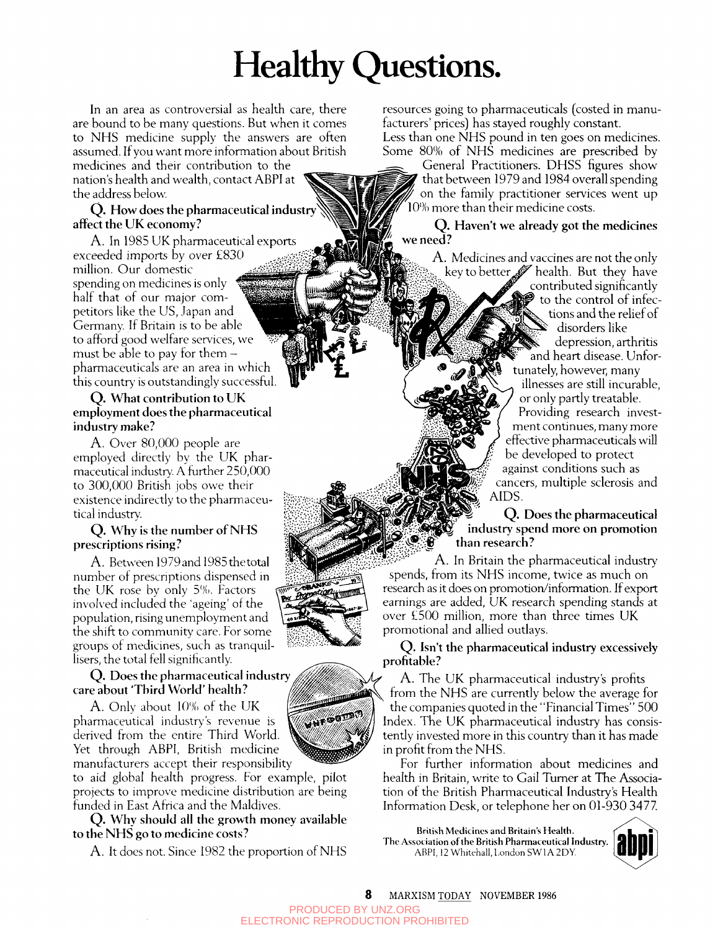# Healthy Questions.

In an area as controversial as health care, there are bound to be many questions. But when it comes to NHS medicine supply the answers are often assumed. If you want more information about British

medicines and their contribution to the nation's health and wealth, contact ABPI at the address below.

### **Q. How does the pharmaceutical industry^<^ affect the UK economy?**

**A. In** 1985 UK pharmaceutical exports exceeded imports by over £830 million. Our domestic spending on medicines is only half that of our major competitors like the US, Japan and Germany. If Britain is to be able to afford good welfare services, we must be able to pay for them  $$ pharmaceuticals are an area in which this country' is outstandingly successful.

### **Q. What contribution to UK employment does the pharmaceutical industry make?**

**A.** Over 80,000 people are employed directly by the UK pharmaceutical industry. A further 250,000 to 300,000 British jobs owe their existence indirectly to the pharmaceutical industry.

### **Q. Why is the number of NHS prescriptions rising?**

A. Between 1979 and 1985 the total number of prescriptions dispensed in the UK rose by only *S%.* Factors involved included the 'ageing' of the population, rising unemployment and the shift to community care. For some groups of medicines, such as tranquillisers, the total fell significantly.

### **Q. Does the pharmaceutical industry care about 'Third World' health?**

A. Only about *\()%* of the UK pharmaceutical industry's revenue is derived from the entire Third World. Yet through ABPI, British medicine manufacturers accept their responsibility

to aid global health progress. For example, pilot projects to improve medicine distribution are being funded in East Africa and the Maldives.

**Q. Why should all the growth money available to the NHS go to medicine costs?** 

**A. It** does not. Since 1982 the proportion of NHS

resources going to pharmaceuticals (costed in manufacturers' prices) has stayed roughly constant. Less than one NHS pound in ten goes on medicines. Some 80% of NHS medicines are prescribed by

General Practitioners. DHSS figures show that between 1979 and 1984 overall spending on the family practitioner services went up 10% more than their medicine costs.

### **Q. Haven't we already got the medicines ' we need?**

**A.** Medicines and vaccines are not the only key to better  $\mathscr{G}$  health. But they have contributed significantly to the control of infections and the relief of disorders like depression, arthritis and heart disease. Unfortunately, however, many illnesses are still incurable, or only partly treatable. Providing research investment continues, many more eff^ective pharmaceuticals will be developed to protect against conditions such as cancers, multiple sclerosis and **AIDS.** 

> **Q. Does the pharmaceutical**  industry spend more on promotion *% Wr:.:'^J:^^* **than research?**

A. In Britain the pharmaceutical industry spends, from its NHS income, twice as much on research as it does on promotion/information. If export earnings are added, UK research spending stands at over £500 million, more than three times UK promotional and allied outlays.

**Q. Isn't the pharmaceutical industry excessively profitable?** 

A. The UK pharmaceutical industry's profits from the NHS are currently below the average for the companies quoted in the "Financial Times" 500 Index. The UK pharmaceutical industry has consistently invested more in this country than it has made in profit from the NHS.

For further information about medicines and health in Britain, write to Gail Turner at The Association of the British Pharmaceutical Industry's Health Information Desk, or telephone her on 01-930 3477

**British Medicines and Britain's Health.**  The Association of the British Pharmaceutical Industry. ABPI, 12 Whitehall, London SW1A 2DY.



8 MARXISM TODAY NOVEMBER 1986